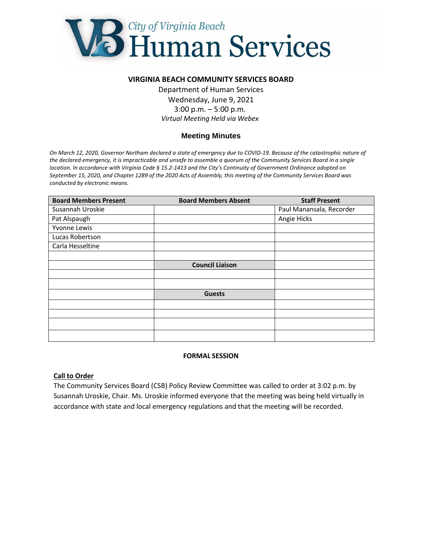

## **VIRGINIA BEACH COMMUNITY SERVICES BOARD**

Department of Human Services Wednesday, June 9, 2021 3:00 p.m. – 5:00 p.m. *Virtual Meeting Held via Webex*

# **Meeting Minutes**

*On March 12, 2020, Governor Northam declared a state of emergency due to COVID-19. Because of the catastrophic nature of the declared emergency, it is impracticable and unsafe to assemble a quorum of the Community Services Board in a single location. In accordance with Virginia Code § 15.2-1413 and the City's Continuity of Government Ordinance adopted on September 15, 2020, and Chapter 1289 of the 2020 Acts of Assembly, this meeting of the Community Services Board was conducted by electronic means.*

| <b>Board Members Present</b> | <b>Board Members Absent</b> | <b>Staff Present</b>     |
|------------------------------|-----------------------------|--------------------------|
| Susannah Uroskie             |                             | Paul Manansala, Recorder |
| Pat Alspaugh                 |                             | Angie Hicks              |
| Yvonne Lewis                 |                             |                          |
| Lucas Robertson              |                             |                          |
| Carla Hesseltine             |                             |                          |
|                              |                             |                          |
|                              | <b>Council Liaison</b>      |                          |
|                              |                             |                          |
|                              |                             |                          |
|                              | <b>Guests</b>               |                          |
|                              |                             |                          |
|                              |                             |                          |
|                              |                             |                          |
|                              |                             |                          |

### **FORMAL SESSION**

#### **Call to Order**

The Community Services Board (CSB) Policy Review Committee was called to order at 3:02 p.m. by Susannah Uroskie, Chair. Ms. Uroskie informed everyone that the meeting was being held virtually in accordance with state and local emergency regulations and that the meeting will be recorded.